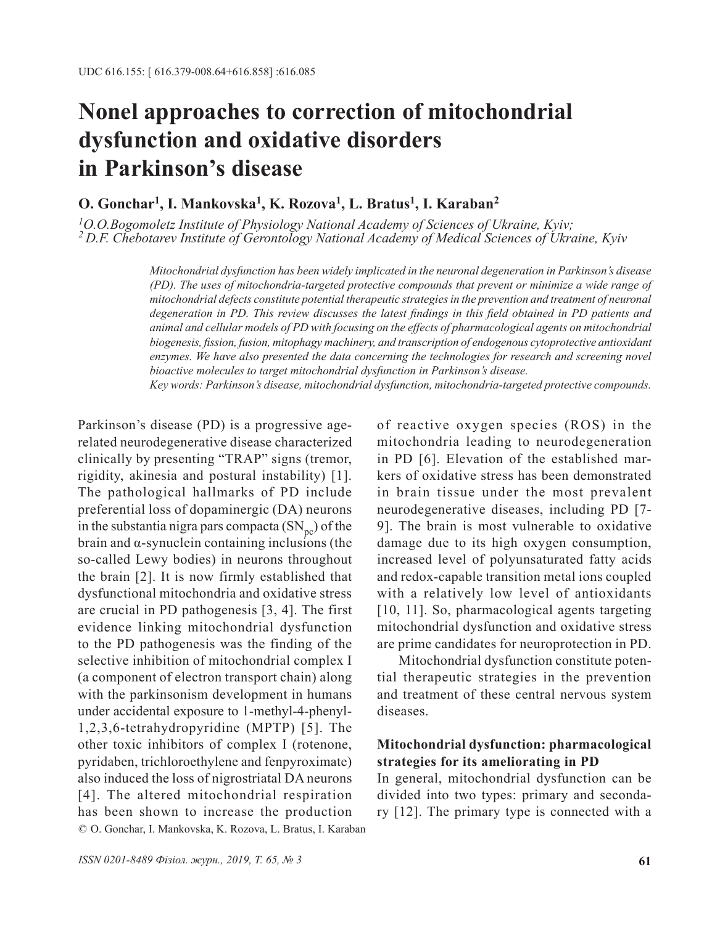# **Nonel approaches to correction of mitochondrial dysfunction and oxidative disorders in Parkinson's disease**

## **O. Gonchar1, I. Mankovska1, K. Rozova1, L. Bratus1, I. Karaban2**

*1O.O.Bogomoletz Institute of Physiology National Academy of Sciences of Ukraine, Kyiv; 2 D.F. Chebotarev Institute of Gerontology National Academy of Medical Sciences of Ukraine, Kyiv*

> *Mitochondrial dysfunction has been widely implicated in the neuronal degeneration in Parkinson's disease (PD). The uses of mitochondria-targeted protective compounds that prevent or minimize a wide range of mitochondrial defects constitute potential therapeutic strategies in the prevention and treatment of neuronal degeneration in PD. This review discusses the latest findings in this field obtained in PD patients and animal and cellular models of PD with focusing on the effects of pharmacological agents on mitochondrial biogenesis, fission, fusion, mitophagy machinery, and transcription of endogenous cytoprotective antioxidant*  enzymes. We have also presented the data concerning the technologies for research and screening novel *bioactive molecules to target mitochondrial dysfunction in Parkinson's disease.*

> *Key words: Parkinson's disease, mitochondrial dysfunction, mitochondria-targeted protective compounds.*

© O. Gonchar, I. Mankovska, K. Rozova, L. Bratus, I. Karaban Parkinson's disease (PD) is a progressive agerelated neurodegenerative disease characterized clinically by presenting "TRAP" signs (tremor, rigidity, akinesia and postural instability) [1]. The pathological hallmarks of PD include preferential loss of dopaminergic (DA) neurons in the substantia nigra pars compacta  $(SN_{\text{nc}})$  of the brain and α-synuclein containing inclusions (the so-called Lewy bodies) in neurons throughout the brain [2]. It is now firmly established that dysfunctional mitochondria and oxidative stress are crucial in PD pathogenesis [3, 4]. The first evidence linking mitochondrial dysfunction to the PD pathogenesis was the finding of the selective inhibition of mitochondrial complex I (a component of electron transport chain) along with the parkinsonism development in humans under accidental exposure to 1-methyl-4-phenyl-1,2,3,6-tetrahydropyridine (MPTP) [5]. The other toxic inhibitors of complex I (rotenone, pyridaben, trichloroethylene and fenpyroximate) also induced the loss of nigrostriatal DA neurons [4]. The altered mitochondrial respiration has been shown to increase the production

of reactive oxygen species (ROS) in the mitochondria leading to neurodegeneration in PD [6]. Elevation of the established markers of oxidative stress has been demonstrated in brain tissue under the most prevalent neurodegenerative diseases, including PD [7- 9]. The brain is most vulnerable to oxidative damage due to its high oxygen consumption, increased level of polyunsaturated fatty acids and redox-capable transition metal ions coupled with a relatively low level of antioxidants [10, 11]. So, pharmacological agents targeting mitochondrial dysfunction and oxidative stress are prime candidates for neuroprotection in PD.

Mitochondrial dysfunction constitute potential therapeutic strategies in the prevention and treatment of these central nervous system diseases.

## **Mitochondrial dysfunction: pharmacological strategies for its ameliorating in PD**

In general, mitochondrial dysfunction can be divided into two types: primary and secondary [12]. The primary type is connected with a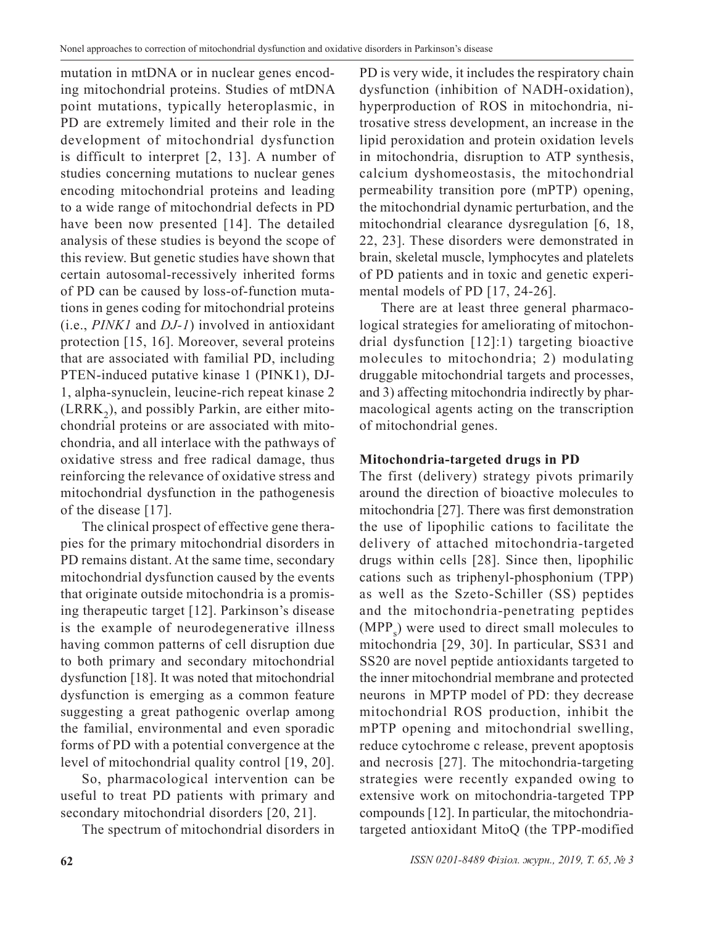mutation in mtDNA or in nuclear genes encoding mitochondrial proteins. Studies of mtDNA point mutations, typically heteroplasmic, in PD are extremely limited and their role in the development of mitochondrial dysfunction is difficult to interpret [2, 13]. A number of studies concerning mutations to nuclear genes encoding mitochondrial proteins and leading to a wide range of mitochondrial defects in PD have been now presented [14]. The detailed analysis of these studies is beyond the scope of this review. But genetic studies have shown that certain autosomal-recessively inherited forms of PD can be caused by loss-of-function mutations in genes coding for mitochondrial proteins (i.e., *PINK1* and *DJ-1*) involved in antioxidant protection [15, 16]. Moreover, several proteins that are associated with familial PD, including PTEN-induced putative kinase 1 (PINK1), DJ-1, alpha-synuclein, leucine-rich repeat kinase 2  $(LRRK<sub>2</sub>)$ , and possibly Parkin, are either mitochondrial proteins or are associated with mitochondria, and all interlace with the pathways of oxidative stress and free radical damage, thus reinforcing the relevance of oxidative stress and mitochondrial dysfunction in the pathogenesis of the disease [17].

The clinical prospect of effective gene therapies for the primary mitochondrial disorders in PD remains distant. At the same time, secondary mitochondrial dysfunction caused by the events that originate outside mitochondria is a promising therapeutic target [12]. Parkinson's disease is the example of neurodegenerative illness having common patterns of cell disruption due to both primary and secondary mitochondrial dysfunction [18]. It was noted that mitochondrial dysfunction is emerging as a common feature suggesting a great pathogenic overlap among the familial, environmental and even sporadic forms of PD with a potential convergence at the level of mitochondrial quality control [19, 20].

So, pharmacological intervention can be useful to treat PD patients with primary and secondary mitochondrial disorders [20, 21].

The spectrum of mitochondrial disorders in

PD is very wide, it includes the respiratory chain dysfunction (inhibition of NADH-oxidation), hyperproduction of ROS in mitochondria, nitrosative stress development, an increase in the lipid peroxidation and protein oxidation levels in mitochondria, disruption to ATP synthesis, calcium dyshomeostasis, the mitochondrial permeability transition pore (mPTP) opening, the mitochondrial dynamic perturbation, and the mitochondrial clearance dysregulation [6, 18, 22, 23]. These disorders were demonstrated in brain, skeletal muscle, lymphocytes and platelets of PD patients and in toxic and genetic experimental models of PD [17, 24-26].

There are at least three general pharmacological strategies for ameliorating of mitochondrial dysfunction [12]:1) targeting bioactive molecules to mitochondria; 2) modulating druggable mitochondrial targets and processes, and 3) affecting mitochondria indirectly by pharmacological agents acting on the transcription of mitochondrial genes.

## **Mitochondria-targeted drugs in PD**

The first (delivery) strategy pivots primarily around the direction of bioactive molecules to mitochondria [27]. There was first demonstration the use of lipophilic cations to facilitate the delivery of attached mitochondria-targeted drugs within cells [28]. Since then, lipophilic cations such as triphenyl-phosphonium (TPP) as well as the Szeto-Schiller (SS) peptides and the mitochondria-penetrating peptides  $(MPP<sub>s</sub>)$  were used to direct small molecules to mitochondria [29, 30]. In particular, SS31 and SS20 are novel peptide antioxidants targeted to the inner mitochondrial membrane and protected neurons in MPTP model of PD: they decrease mitochondrial ROS production, inhibit the mPTP opening and mitochondrial swelling, reduce cytochrome c release, prevent apoptosis and necrosis [27]. The mitochondria-targeting strategies were recently expanded owing to extensive work on mitochondria-targeted TPP compounds [12]. In particular, the mitochondriatargeted antioxidant MitoQ (the TPP-modified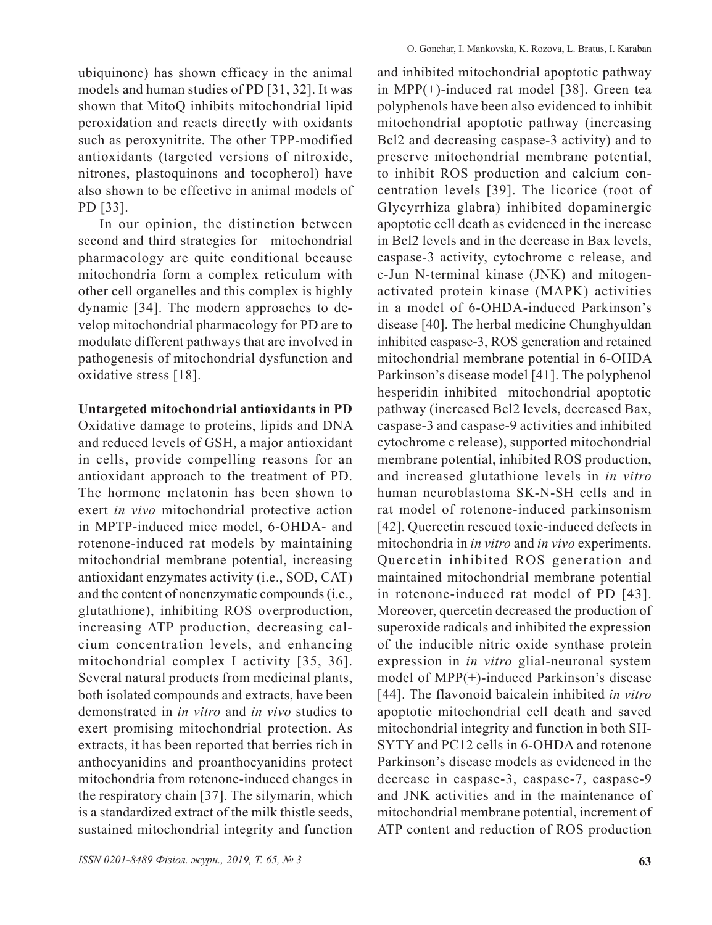ubiquinone) has shown efficacy in the animal models and human studies of PD [31, 32]. It was shown that MitoQ inhibits mitochondrial lipid peroxidation and reacts directly with oxidants such as peroxynitrite. The other TPP-modified antioxidants (targeted versions of nitroxide, nitrones, plastoquinons and tocopherol) have also shown to be effective in animal models of PD [33].

In our opinion, the distinction between second and third strategies for mitochondrial pharmacology are quite conditional because mitochondria form a complex reticulum with other cell organelles and this complex is highly dynamic [34]. The modern approaches to develop mitochondrial pharmacology for PD are to modulate different pathways that are involved in pathogenesis of mitochondrial dysfunction and oxidative stress [18].

## **Untargeted mitochondrial antioxidants in PD**

Oxidative damage to proteins, lipids and DNA and reduced levels of GSH, a major antioxidant in cells, provide compelling reasons for an antioxidant approach to the treatment of PD. The hormone melatonin has been shown to exert *in vivo* mitochondrial protective action in MPTP-induced mice model, 6-OHDA- and rotenone-induced rat models by maintaining mitochondrial membrane potential, increasing antioxidant enzymates activity (i.e., SOD, CAT) and the content of nonenzymatic compounds (i.e., glutathione), inhibiting ROS overproduction, increasing ATP production, decreasing calcium concentration levels, and enhancing mitochondrial complex I activity [35, 36]. Several natural products from medicinal plants, both isolated compounds and extracts, have been demonstrated in *in vitro* and *in vivo* studies to exert promising mitochondrial protection. As extracts, it has been reported that berries rich in anthocyanidins and proanthocyanidins protect mitochondria from rotenone-induced changes in the respiratory chain [37]. The silymarin, which is a standardized extract of the milk thistle seeds, sustained mitochondrial integrity and function and inhibited mitochondrial apoptotic pathway in MPP(+)-induced rat model [38]. Green tea polyphenols have been also evidenced to inhibit mitochondrial apoptotic pathway (increasing Bcl2 and decreasing caspase-3 activity) and to preserve mitochondrial membrane potential, to inhibit ROS production and calcium concentration levels [39]. The licorice (root of Glycyrrhiza glabra) inhibited dopaminergic apoptotic cell death as evidenced in the increase in Bcl2 levels and in the decrease in Bax levels, caspase-3 activity, cytochrome c release, and c-Jun N-terminal kinase (JNK) and mitogenactivated protein kinase (MAPK) activities in a model of 6-OHDA-induced Parkinson's disease [40]. The herbal medicine Chunghyuldan inhibited caspase-3, ROS generation and retained mitochondrial membrane potential in 6-OHDA Parkinson's disease model [41]. The polyphenol hesperidin inhibited mitochondrial apoptotic pathway (increased Bcl2 levels, decreased Bax, caspase-3 and caspase-9 activities and inhibited cytochrome c release), supported mitochondrial membrane potential, inhibited ROS production, and increased glutathione levels in *in vitro* human neuroblastoma SK-N-SH cells and in rat model of rotenone-induced parkinsonism [42]. Quercetin rescued toxic-induced defects in mitochondria in *in vitro* and *in vivo* experiments. Quercetin inhibited ROS generation and maintained mitochondrial membrane potential in rotenone-induced rat model of PD [43]. Moreover, quercetin decreased the production of superoxide radicals and inhibited the expression of the inducible nitric oxide synthase protein expression in *in vitro* glial-neuronal system model of MPP(+)-induced Parkinson's disease [44]. The flavonoid baicalein inhibited *in vitro* apoptotic mitochondrial cell death and saved mitochondrial integrity and function in both SH-SYTY and PC12 cells in 6-OHDA and rotenone Parkinson's disease models as evidenced in the decrease in caspase-3, caspase-7, caspase-9 and JNK activities and in the maintenance of mitochondrial membrane potential, increment of ATP content and reduction of ROS production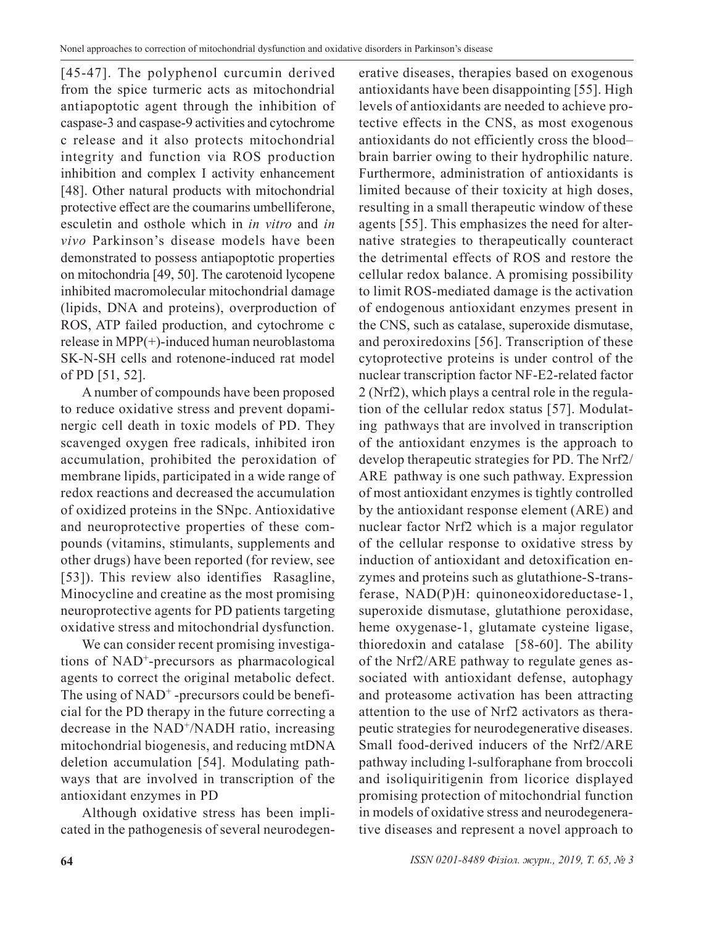[45-47]. The polyphenol curcumin derived from the spice turmeric acts as mitochondrial antiapoptotic agent through the inhibition of caspase-3 and caspase-9 activities and cytochrome c release and it also protects mitochondrial integrity and function via ROS production inhibition and complex I activity enhancement [48]. Other natural products with mitochondrial protective effect are the coumarins umbelliferone, esculetin and osthole which in *in vitro* and *in vivo* Parkinson's disease models have been demonstrated to possess antiapoptotic properties on mitochondria [49, 50]. The carotenoid lycopene inhibited macromolecular mitochondrial damage (lipids, DNA and proteins), overproduction of ROS, ATP failed production, and cytochrome c release in MPP(+)-induced human neuroblastoma SK-N-SH cells and rotenone-induced rat model of PD [51, 52].

A number of compounds have been proposed to reduce oxidative stress and prevent dopaminergic cell death in toxic models of PD. They scavenged oxygen free radicals, inhibited iron accumulation, prohibited the peroxidation of membrane lipids, participated in a wide range of redox reactions and decreased the accumulation of oxidized proteins in the SNpc. Antioxidative and neuroprotective properties of these compounds (vitamins, stimulants, supplements and other drugs) have been reported (for review, see [53]). This review also identifies Rasagline, Minocycline and creatine as the most promising neuroprotective agents for PD patients targeting oxidative stress and mitochondrial dysfunction.

We can consider recent promising investigations of NAD+-precursors as pharmacological agents to correct the original metabolic defect. The using of  $NAD^+$ -precursors could be beneficial for the PD therapy in the future correcting a decrease in the NAD<sup>+</sup>/NADH ratio, increasing mitochondrial biogenesis, and reducing mtDNA deletion accumulation [54]. Modulating pathways that are involved in transcription of the antioxidant enzymes in PD

Although oxidative stress has been implicated in the pathogenesis of several neurodegenerative diseases, therapies based on exogenous antioxidants have been disappointing [55]. High levels of antioxidants are needed to achieve protective effects in the CNS, as most exogenous antioxidants do not efficiently cross the blood– brain barrier owing to their hydrophilic nature. Furthermore, administration of antioxidants is limited because of their toxicity at high doses, resulting in a small therapeutic window of these agents [55]. This emphasizes the need for alternative strategies to therapeutically counteract the detrimental effects of ROS and restore the cellular redox balance. A promising possibility to limit ROS-mediated damage is the activation of endogenous antioxidant enzymes present in the CNS, such as catalase, superoxide dismutase, and peroxiredoxins [56]. Transcription of these cytoprotective proteins is under control of the nuclear transcription factor NF-E2-related factor 2 (Nrf2), which plays a central role in the regulation of the cellular redox status [57]. Modulating pathways that are involved in transcription of the antioxidant enzymes is the approach to develop therapeutic strategies for PD. The Nrf2/ ARE pathway is one such pathway. Expression of most antioxidant enzymes is tightly controlled by the antioxidant response element (ARE) and nuclear factor Nrf2 which is a major regulator of the cellular response to oxidative stress by induction of antioxidant and detoxification enzymes and proteins such as glutathione-S-transferase, NAD(P)H: quinoneoxidoreductase-1, superoxide dismutase, glutathione peroxidase, heme oxygenase-1, glutamate cysteine ligase, thioredoxin and catalase [58-60]. The ability of the Nrf2/ARE pathway to regulate genes associated with antioxidant defense, autophagy and proteasome activation has been attracting attention to the use of Nrf2 activators as therapeutic strategies for neurodegenerative diseases. Small food-derived inducers of the Nrf2/ARE pathway including l-sulforaphane from broccoli and isoliquiritigenin from licorice displayed promising protection of mitochondrial function in models of oxidative stress and neurodegenerative diseases and represent a novel approach to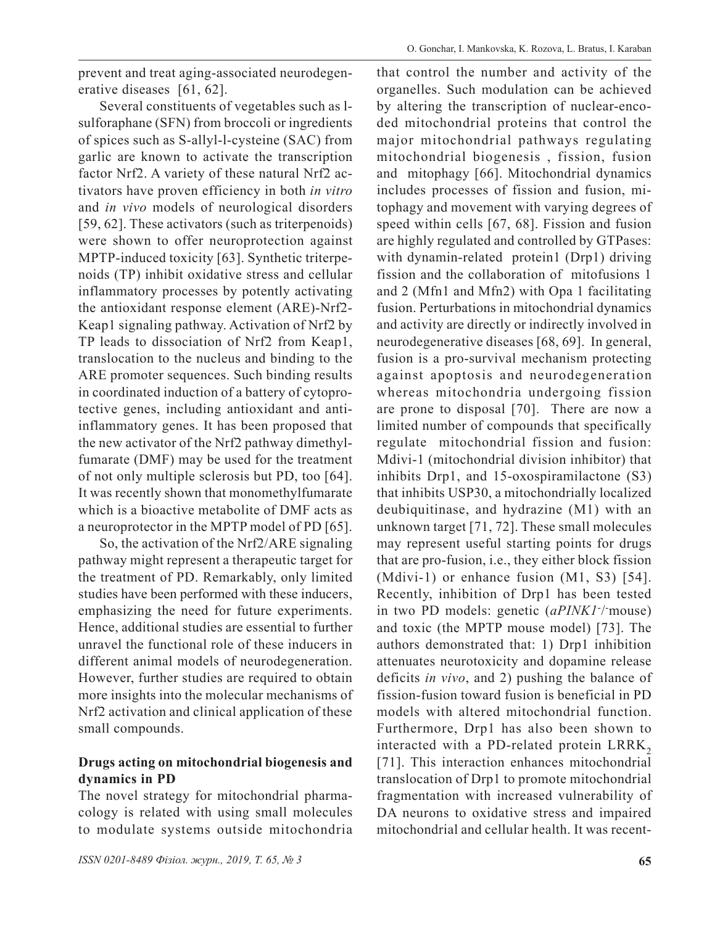prevent and treat aging-associated neurodegenerative diseases [61, 62].

Several constituents of vegetables such as lsulforaphane (SFN) from broccoli or ingredients of spices such as S-allyl-l-cysteine (SAC) from garlic are known to activate the transcription factor Nrf2. A variety of these natural Nrf2 activators have proven efficiency in both *in vitro* and *in vivo* models of neurological disorders [59, 62]. These activators (such as triterpenoids) were shown to offer neuroprotection against MPTP-induced toxicity [63]. Synthetic triterpenoids (TP) inhibit oxidative stress and cellular inflammatory processes by potently activating the antioxidant response element (ARE)-Nrf2- Keap1 signaling pathway. Activation of Nrf2 by TP leads to dissociation of Nrf2 from Keap1, translocation to the nucleus and binding to the ARE promoter sequences. Such binding results in coordinated induction of a battery of cytoprotective genes, including antioxidant and antiinflammatory genes. It has been proposed that the new activator of the Nrf2 pathway dimethylfumarate (DMF) may be used for the treatment of not only multiple sclerosis but PD, too [64]. It was recently shown that monomethylfumarate which is a bioactive metabolite of DMF acts as a neuroprotector in the MPTP model of PD [65].

So, the activation of the Nrf2/ARE signaling pathway might represent a therapeutic target for the treatment of PD. Remarkably, only limited studies have been performed with these inducers, emphasizing the need for future experiments. Hence, additional studies are essential to further unravel the functional role of these inducers in different animal models of neurodegeneration. However, further studies are required to obtain more insights into the molecular mechanisms of Nrf2 activation and clinical application of these small compounds.

## **Drugs acting on mitochondrial biogenesis and dynamics in PD**

The novel strategy for mitochondrial pharmacology is related with using small molecules to modulate systems outside mitochondria

that control the number and activity of the organelles. Such modulation can be achieved by altering the transcription of nuclear-encoded mitochondrial proteins that control the major mitochondrial pathways regulating mitochondrial biogenesis , fission, fusion and mitophagy [66]. Mitochondrial dynamics includes processes of fission and fusion, mitophagy and movement with varying degrees of speed within cells [67, 68]. Fission and fusion are highly regulated and controlled by GTPases: with dynamin-related protein1 (Drp1) driving fission and the collaboration of mitofusions 1 and 2 (Mfn1 and Mfn2) with Opa 1 facilitating fusion. Perturbations in mitochondrial dynamics and activity are directly or indirectly involved in neurodegenerative diseases [68, 69]. In general, fusion is a pro-survival mechanism protecting against apoptosis and neurodegeneration whereas mitochondria undergoing fission are prone to disposal [70]. There are now a limited number of compounds that specifically regulate mitochondrial fission and fusion: Mdivi-1 (mitochondrial division inhibitor) that inhibits Drp1, and 15-oxospiramilactone (S3) that inhibits USP30, a mitochondrially localized deubiquitinase, and hydrazine (M1) with an unknown target [71, 72]. These small molecules may represent useful starting points for drugs that are pro-fusion, i.e., they either block fission (Mdivi-1) or enhance fusion (M1, S3) [54]. Recently, inhibition of Drp1 has been tested in two PD models: genetic (aPINK1<sup>-/-</sup>mouse) and toxic (the MPTP mouse model) [73]. The authors demonstrated that: 1) Drp1 inhibition attenuates neurotoxicity and dopamine release deficits *in vivo*, and 2) pushing the balance of fission-fusion toward fusion is beneficial in PD models with altered mitochondrial function. Furthermore, Drp1 has also been shown to interacted with a PD-related protein LRRK<sub>2</sub> [71]. This interaction enhances mitochondrial translocation of Drp1 to promote mitochondrial fragmentation with increased vulnerability of DA neurons to oxidative stress and impaired mitochondrial and cellular health. It was recent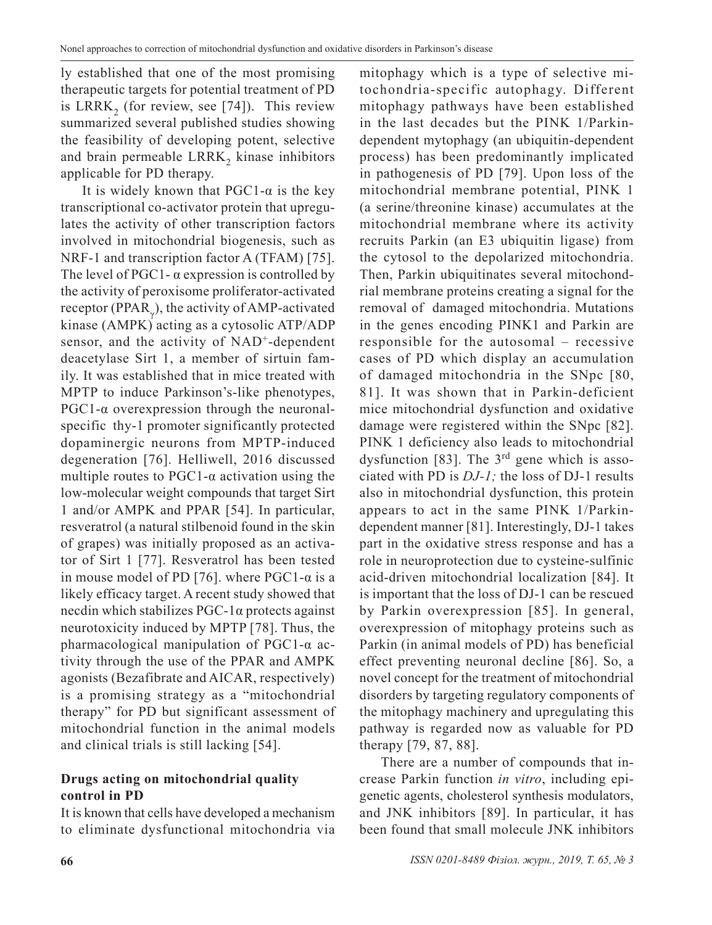ly established that one of the most promising therapeutic targets for potential treatment of PD is LRRK<sub>2</sub> (for review, see [74]). This review summarized several published studies showing the feasibility of developing potent, selective and brain permeable LRRK<sub>2</sub> kinase inhibitors applicable for PD therapy.

It is widely known that  $PGC1-\alpha$  is the key transcriptional co-activator protein that upregulates the activity of other transcription factors involved in mitochondrial biogenesis, such as NRF-1 and transcription factor A (TFAM) [75]. The level of PGC1- $\alpha$  expression is controlled by the activity of peroxisome proliferator-activated receptor (PPAR<sub> $_{\gamma}$ </sub>), the activity of AMP-activated kinase (AMPK) acting as a cytosolic ATP/ADP sensor, and the activity of NAD<sup>+</sup>-dependent deacetylase Sirt 1, a member of sirtuin family. It was established that in mice treated with MPTP to induce Parkinson's-like phenotypes, PGC1-α overexpression through the neuronalspecific thy-1 promoter significantly protected dopaminergic neurons from MPTP-induced degeneration [76]. Helliwell, 2016 discussed multiple routes to  $PGC1$ - $\alpha$  activation using the low-molecular weight compounds that target Sirt 1 and/or AMPK and PPAR [54]. In particular, resveratrol (a natural stilbenoid found in the skin of grapes) was initially proposed as an activator of Sirt 1 [77]. Resveratrol has been tested in mouse model of PD [76]. where PGC1- $\alpha$  is a likely efficacy target. A recent study showed that necdin which stabilizes PGC-1α protects against neurotoxicity induced by MPTP [78]. Thus, the pharmacological manipulation of PGC1-α activity through the use of the PPAR and AMPK agonists (Bezafibrate and AICAR, respectively) is a promising strategy as a "mitochondrial therapy" for PD but significant assessment of mitochondrial function in the animal models and clinical trials is still lacking [54].

## **Drugs acting on mitochondrial quality control in PD**

It is known that cells have developed a mechanism to eliminate dysfunctional mitochondria via

mitophagy which is a type of selective mitochondria-specific autophagy. Different mitophagy pathways have been established in the last decades but the PINK 1/Parkindependent mytophagy (an ubiquitin-dependent process) has been predominantly implicated in pathogenesis of PD [79]. Upon loss of the mitochondrial membrane potential, PINK 1 (a serine/threonine kinase) accumulates at the mitochondrial membrane where its activity recruits Parkin (an E3 ubiquitin ligase) from the cytosol to the depolarized mitochondria. Then, Parkin ubiquitinates several mitochondrial membrane proteins creating a signal for the removal of damaged mitochondria. Mutations in the genes encoding PINK1 and Parkin are responsible for the autosomal – recessive cases of PD which display an accumulation of damaged mitochondria in the SNpc [80, 81]. It was shown that in Parkin-deficient mice mitochondrial dysfunction and oxidative damage were registered within the SNpc [82]. PINK 1 deficiency also leads to mitochondrial dysfunction [83]. The  $3<sup>rd</sup>$  gene which is associated with PD is *DJ-1;* the loss of DJ-1 results also in mitochondrial dysfunction, this protein appears to act in the same PINK 1/Parkindependent manner [81]. Interestingly, DJ-1 takes part in the oxidative stress response and has a role in neuroprotection due to cysteine-sulfinic acid-driven mitochondrial localization [84]. It is important that the loss of DJ-1 can be rescued by Parkin overexpression [85]. In general, overexpression of mitophagy proteins such as Parkin (in animal models of PD) has beneficial effect preventing neuronal decline [86]. So, a novel concept for the treatment of mitochondrial disorders by targeting regulatory components of the mitophagy machinery and upregulating this pathway is regarded now as valuable for PD therapy [79, 87, 88].

There are a number of compounds that increase Parkin function *in vitro*, including epigenetic agents, cholesterol synthesis modulators, and JNK inhibitors [89]. In particular, it has been found that small molecule JNK inhibitors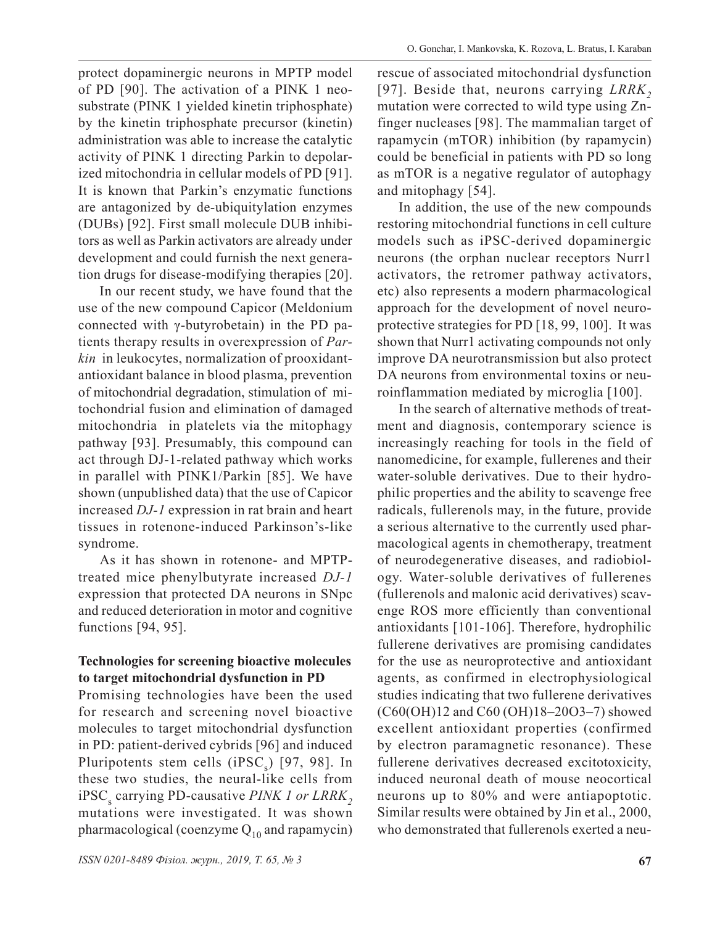protect dopaminergic neurons in MPTP model of PD [90]. The activation of a PINK 1 neosubstrate (PINK 1 yielded kinetin triphosphate) by the kinetin triphosphate precursor (kinetin) administration was able to increase the catalytic activity of PINK 1 directing Parkin to depolarized mitochondria in cellular models of PD [91]. It is known that Parkin's enzymatic functions are antagonized by de-ubiquitylation enzymes (DUBs) [92]. First small molecule DUB inhibitors as well as Parkin activators are already under development and could furnish the next generation drugs for disease-modifying therapies [20].

In our recent study, we have found that the use of the new compound Capicor (Meldonium connected with γ-butyrobetain) in the PD patients therapy results in overexpression of *Parkin* in leukocytes, normalization of prooxidantantioxidant balance in blood plasma, prevention of mitochondrial degradation, stimulation of mitochondrial fusion and elimination of damaged mitochondria in platelets via the mitophagy pathway [93]. Presumably, this compound can act through DJ-1-related pathway which works in parallel with PINK1/Parkin [85]. We have shown (unpublished data) that the use of Capicor increased *DJ-1* expression in rat brain and heart tissues in rotenone-induced Parkinson's-like syndrome.

As it has shown in rotenone- and MPTPtreated mice phenylbutyrate increased *DJ-1* expression that protected DA neurons in SNpc and reduced deterioration in motor and cognitive functions [94, 95].

## **Technologies for screening bioactive molecules to target mitochondrial dysfunction in PD**

Promising technologies have been the used for research and screening novel bioactive molecules to target mitochondrial dysfunction in PD: patient-derived cybrids [96] and induced Pluripotents stem cells (i $PSC_s$ ) [97, 98]. In these two studies, the neural-like cells from iPSC<sub>s</sub> carrying PD-causative *PINK 1 or LRRK*<sub>2</sub> mutations were investigated. It was shown pharmacological (coenzyme  $Q_{10}$  and rapamycin)

rescue of associated mitochondrial dysfunction [97]. Beside that, neurons carrying *LRRK*, mutation were corrected to wild type using Znfinger nucleases [98]. The mammalian target of rapamycin (mTOR) inhibition (by rapamycin) could be beneficial in patients with PD so long as mTOR is a negative regulator of autophagy and mitophagy [54].

In addition, the use of the new compounds restoring mitochondrial functions in cell culture models such as iPSC-derived dopaminergic neurons (the orphan nuclear receptors Nurr1 activators, the retromer pathway activators, etc) also represents a modern pharmacological approach for the development of novel neuroprotective strategies for PD [18, 99, 100]. It was shown that Nurr1 activating compounds not only improve DA neurotransmission but also protect DA neurons from environmental toxins or neuroinflammation mediated by microglia [100].

In the search of alternative methods of treatment and diagnosis, contemporary science is increasingly reaching for tools in the field of nanomedicine, for example, fullerenes and their water-soluble derivatives. Due to their hydrophilic properties and the ability to scavenge free radicals, fullerenols may, in the future, provide a serious alternative to the currently used pharmacological agents in chemotherapy, treatment of neurodegenerative diseases, and radiobiology. Water-soluble derivatives of fullerenes (fullerenols and malonic acid derivatives) scavenge ROS more efficiently than conventional antioxidants [101-106]. Therefore, hydrophilic fullerene derivatives are promising candidates for the use as neuroprotective and antioxidant agents, as confirmed in electrophysiological studies indicating that two fullerene derivatives (C60(OH)12 and C60 (OH)18–20O3–7) showed excellent antioxidant properties (confirmed by electron paramagnetic resonance). These fullerene derivatives decreased excitotoxicity, induced neuronal death of mouse neocortical neurons up to 80% and were antiapoptotic. Similar results were obtained by Jin et al., 2000, who demonstrated that fullerenols exerted a neu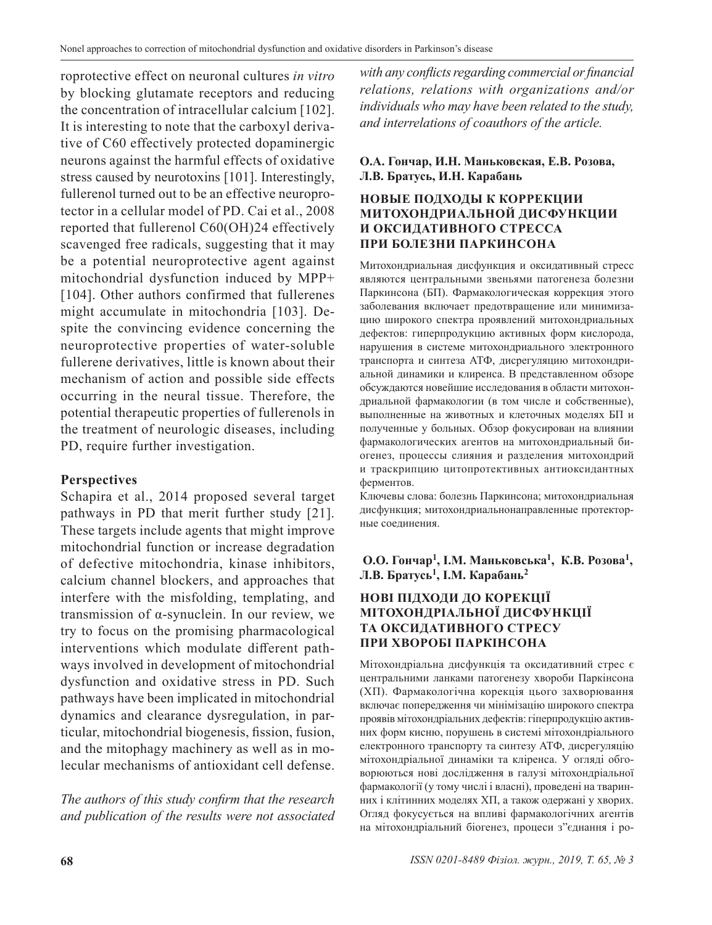roprotective effect on neuronal cultures *in vitro* by blocking glutamate receptors and reducing the concentration of intracellular calcium [102]. It is interesting to note that the carboxyl derivative of C60 effectively protected dopaminergic neurons against the harmful effects of oxidative stress caused by neurotoxins [101]. Interestingly, fullerenol turned out to be an effective neuroprotector in a cellular model of PD. Cai et al., 2008 reported that fullerenol C60(OH)24 effectively scavenged free radicals, suggesting that it may be a potential neuroprotective agent against mitochondrial dysfunction induced by MPP+ [104]. Other authors confirmed that fullerenes might accumulate in mitochondria [103]. Despite the convincing evidence concerning the neuroprotective properties of water-soluble fullerene derivatives, little is known about their mechanism of action and possible side effects occurring in the neural tissue. Therefore, the potential therapeutic properties of fullerenols in the treatment of neurologic diseases, including PD, require further investigation.

## **Perspectives**

Schapira et al., 2014 proposed several target pathways in PD that merit further study [21]. These targets include agents that might improve mitochondrial function or increase degradation of defective mitochondria, kinase inhibitors, calcium channel blockers, and approaches that interfere with the misfolding, templating, and transmission of α-synuclein. In our review, we try to focus on the promising pharmacological interventions which modulate different pathways involved in development of mitochondrial dysfunction and oxidative stress in PD. Such pathways have been implicated in mitochondrial dynamics and clearance dysregulation, in particular, mitochondrial biogenesis, fission, fusion, and the mitophagy machinery as well as in molecular mechanisms of antioxidant cell defense.

*The authors of this study confirm that the research and publication of the results were not associated*  *with any conflicts regarding commercial or financial relations, relations with organizations and/or individuals who may have been related to the study, and interrelations of coauthors of the article.*

#### **О.А. Гончар, И.Н. Маньковская, Е.В. Розова, Л.В. Братусь, И.Н. Карабань**

#### **НОВЫЕ ПОДХОДЫ К КОРРЕКЦИИ МИТОХОНДРИАЛЬНОЙ ДИСФУНКЦИИ И ОКСИДАТИВНОГО СТРЕССА ПРИ БОЛЕЗНИ ПАРКИНСОНА**

Митохондриальная дисфункция и оксидативный стресс являются центральными звеньями патогенеза болезни Паркинсона (БП). Фармакологическая коррекция этого заболевания включает предотвращение или минимизацию широкого спектра проявлений митохондриальных дефектов: гиперпродукцию активных форм кислорода, нарушения в системе митохондриального электронного транспорта и синтеза АТФ, диcрегуляцию митохондриальной динамики и клиренса. В представленном обзоре обсуждаются новейшие исследования в области митохондриальной фармакологии (в том числе и собственные), выполненные на животных и клеточных моделях БП и полученные у больных. Обзор фокусирован на влиянии фармакологических агентов на митохондриальный биогенез, процессы слияния и разделения митохондрий и траскрипцию цитопротективных антиоксидантных ферментов.

Ключевы слова: болезнь Паркинсона; митохондриальная дисфункция; митохондриальнонаправленные протекторные соединения.

## **О.О. Гончар1, І.М. Маньковська1, К.В. Розова1, Л.В. Братусь1, І.М. Карабань2**

#### **НОВІ ПІДХОДИ ДО КОРЕКЦІЇ МІТОХОНДРІАЛЬНОЇ ДИСФУНКЦІЇ ТА ОКСИДАТИВНОГО СТРЕСУ ПРИ ХВОРОБІ ПАРКІНСОНА**

Мітохондріальна дисфункція та оксидативний стрес є центральними ланками патогенезу хвороби Паркінсона (ХП). Фармакологічна корекція цього захворювання включає попередження чи мінімізацію широкого спектра проявів мітохондріальних дефектів: гіперпродукцію активних форм кисню, порушень в системі мітохондріального електронного транспорту та синтезу АТФ, дисрегуляцію мітохондріальної динаміки та кліренса. У огляді обговорюються нові дослідження в галузі мітохондріальної фармакології (у тому числі і власні), проведені на тваринних і клітинних моделях ХП, а також одержані у хворих. Огляд фокусується на впливі фармакологічних агентів на мітохондріальний біогенез, процеси з"єднання і ро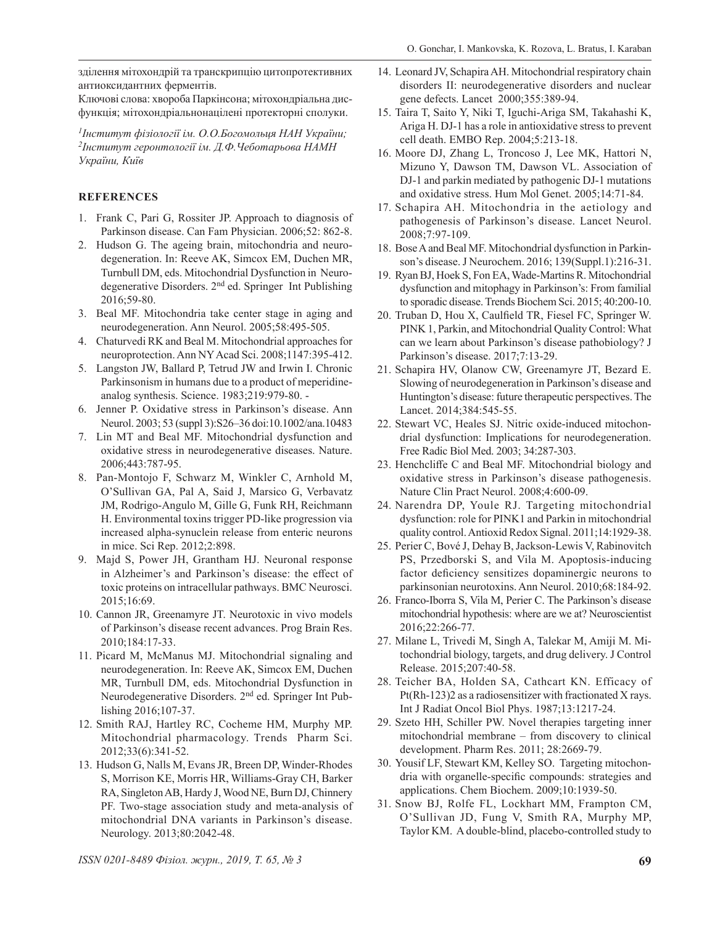зділення мітохондрій та транскрипцію цитопротективних антиоксидантних ферментів.

Ключові слова: хвороба Паркінсона; мітохондріальна дисфункція; мітохондріальнонацілені протекторні сполуки.

*1Інститут фізіології ім. О.О.Богомольця НАН України; 2Інститут геронтології ім. Д.Ф.Чеботарьова НАМН України, Київ*

#### **REFERENCES**

- 1. Frank C, Pari G, Rossiter JP. Approach to diagnosis of Parkinson disease. Can Fam Physician. 2006;52: 862-8.
- 2. Hudson G. The ageing brain, mitochondria and neurodegeneration. In: Reeve AK, Simcox EM, Duchen MR, Turnbull DM, eds. Mitochondrial Dysfunction in Neurodegenerative Disorders. 2nd ed. Springer Int Publishing 2016;59-80.
- 3. Beal MF. Mitochondria take center stage in aging and neurodegeneration. Ann Neurol. 2005;58:495-505.
- 4. Chaturvedi RK and Beal M. Mitochondrial approaches for neuroprotection. Ann NY Acad Sci. 2008;1147:395-412.
- 5. Langston JW, Ballard P, Tetrud JW and Irwin I. Chronic Parkinsonism in humans due to a product of meperidineanalog synthesis. Science. 1983;219:979-80. -
- 6. Jenner P. Oxidative stress in Parkinson's disease. Ann Neurol. 2003; 53 (suppl 3):S26–36 doi:10.1002/ana.10483
- 7. Lin MT and Beal MF. Mitochondrial dysfunction and oxidative stress in neurodegenerative diseases. Nature. 2006;443:787-95.
- 8. Pan-Montojo F, Schwarz M, Winkler C, Arnhold M, O'Sullivan GA, Pal A, Said J, Marsico G, Verbavatz JM, Rodrigo-Angulo M, Gille G, Funk RH, Reichmann H. Environmental toxins trigger PD-like progression via increased alpha-synuclein release from enteric neurons in mice. Sci Rep. 2012;2:898.
- 9. Majd S, Power JH, Grantham HJ. Neuronal response in Alzheimer's and Parkinson's disease: the effect of toxic proteins on intracellular pathways. BMC Neurosci. 2015;16:69.
- 10. Cannon JR, Greenamyre JT. Neurotoxic in vivo models of Parkinson's disease recent advances. Prog Brain Res. 2010;184:17-33.
- 11. Picard M, McManus MJ. Mitochondrial signaling and neurodegeneration. In: Reeve AK, Simcox EM, Duchen MR, Turnbull DM, eds. Mitochondrial Dysfunction in Neurodegenerative Disorders. 2nd ed. Springer Int Publishing 2016;107-37.
- 12. Smith RAJ, Hartley RC, Cocheme HM, Murphy MP. Mitochondrial pharmacology. Trends Pharm Sci. 2012;33(6):341-52.
- 13. Hudson G, Nalls M, Evans JR, Breen DP, Winder-Rhodes S, Morrison KE, Morris HR, Williams-Gray CH, Barker RA, Singleton AB, Hardy J, Wood NE, Burn DJ, Chinnery PF. Two-stage association study and meta-analysis of mitochondrial DNA variants in Parkinson's disease. Neurology. 2013;80:2042-48.
- 14. Leonard JV, Schapira AH. Mitochondrial respiratory chain disorders II: neurodegenerative disorders and nuclear gene defects. Lancet 2000;355:389-94.
- 15. Taira T, Saito Y, Niki T, Iguchi-Ariga SM, Takahashi K, Ariga H. DJ-1 has a role in antioxidative stress to prevent cell death. EMBO Rep. 2004;5:213-18.
- 16. Moore DJ, Zhang L, Troncoso J, Lee MK, Hattori N, Mizuno Y, Dawson TM, Dawson VL. Association of DJ-1 and parkin mediated by pathogenic DJ-1 mutations and oxidative stress. Hum Mol Genet. 2005;14:71-84.
- 17. Schapira AH. Mitochondria in the aetiology and pathogenesis of Parkinson's disease. Lancet Neurol. 2008;7:97-109.
- 18. Bose A and Beal MF. Mitochondrial dysfunction in Parkinson's disease. J Neurochem. 2016; 139(Suppl.1):216-31.
- 19. Ryan BJ, Hoek S, Fon EA, Wade-Martins R. Mitochondrial dysfunction and mitophagy in Parkinson's: From familial to sporadic disease. Trends Biochem Sci. 2015; 40:200-10.
- 20. Truban D, Hou X, Caulfield TR, Fiesel FC, Springer W. PINK 1, Parkin, and Mitochondrial Quality Control: What can we learn about Parkinson's disease pathobiology? J Parkinson's disease. 2017;7:13-29.
- 21. Schapira HV, Olanow CW, Greenamyre JT, Bezard E. Slowing of neurodegeneration in Parkinson's disease and Huntington's disease: future therapeutic perspectives. The Lancet. 2014;384:545-55.
- 22. Stewart VC, Heales SJ. Nitric oxide-induced mitochondrial dysfunction: Implications for neurodegeneration. Free Radic Biol Med. 2003; 34:287-303.
- 23. Henchcliffe C and Beal MF. Mitochondrial biology and oxidative stress in Parkinson's disease pathogenesis. Nature Clin Pract Neurol. 2008;4:600-09.
- 24. Narendra DP, Youle RJ. Targeting mitochondrial dysfunction: role for PINK1 and Parkin in mitochondrial quality control. Antioxid Redox Signal. 2011;14:1929-38.
- 25. Perier C, Bové J, Dehay B, Jackson-Lewis V, Rabinovitch PS, Przedborski S, and Vila M. Apoptosis-inducing factor deficiency sensitizes dopaminergic neurons to parkinsonian neurotoxins. Ann Neurol. 2010;68:184-92.
- 26. Franco-Iborra S, Vila M, Perier C. The Parkinson's disease mitochondrial hypothesis: where are we at? Neuroscientist 2016;22:266-77.
- 27. Milane L, Trivedi M, Singh A, Talekar M, Amiji M. Mitochondrial biology, targets, and drug delivery. J Control Release. 2015;207:40-58.
- 28. Teicher BA, Holden SA, Cathcart KN. Efficacy of Pt(Rh-123)2 as a radiosensitizer with fractionated X rays. Int J Radiat Oncol Biol Phys. 1987;13:1217-24.
- 29. Szeto HH, Schiller PW. Novel therapies targeting inner mitochondrial membrane – from discovery to clinical development. Pharm Res. 2011; 28:2669-79.
- 30. Yousif LF, Stewart KM, Kelley SO. Targeting mitochondria with organelle-specific compounds: strategies and applications. Chem Biochem. 2009;10:1939-50.
- 31. Snow BJ, Rolfe FL, Lockhart MM, Frampton CM, O'Sullivan JD, Fung V, Smith RA, Murphy MP, Taylor KM. A double-blind, placebo-controlled study to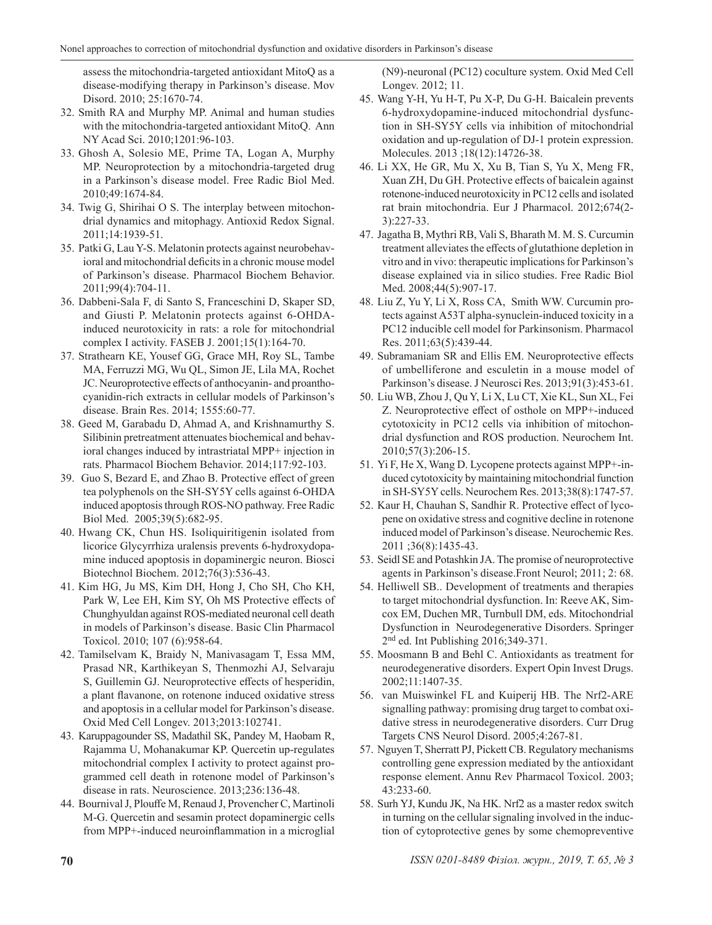assess the mitochondria-targeted antioxidant MitoQ as a disease-modifying therapy in Parkinson's disease. Mov Disord. 2010; 25:1670-74.

- 32. Smith RA and Murphy MP. Animal and human studies with the mitochondria-targeted antioxidant MitoQ. Ann NY Acad Sci. 2010;1201:96-103.
- 33. Ghosh A, Solesio ME, Prime TA, Logan A, Murphy MP. Neuroprotection by a mitochondria-targeted drug in a Parkinson's disease model. Free Radic Biol Med. 2010;49:1674-84.
- 34. Twig G, Shirihai O S. The interplay between mitochondrial dynamics and mitophagy. Antioxid Redox Signal. 2011;14:1939-51.
- 35. Patki G, Lau Y-S. Melatonin protects against neurobehavioral and mitochondrial deficits in a chronic mouse model of Parkinson's disease. Pharmacol Biochem Behavior. 2011;99(4):704-11.
- 36. Dabbeni-Sala F, di Santo S, Franceschini D, Skaper SD, and Giusti P. Melatonin protects against 6-OHDAinduced neurotoxicity in rats: a role for mitochondrial complex I activity. FASEB J. 2001;15(1):164-70.
- 37. Strathearn KE, Yousef GG, Grace MH, Roy SL, Tambe MA, Ferruzzi MG, Wu QL, Simon JE, Lila MA, Rochet JC. Neuroprotective effects of anthocyanin- and proanthocyanidin-rich extracts in cellular models of Parkinson's disease. Brain Res. 2014; 1555:60-77.
- 38. Geed M, Garabadu D, Ahmad A, and Krishnamurthy S. Silibinin pretreatment attenuates biochemical and behavioral changes induced by intrastriatal MPP+ injection in rats. Pharmacol Biochem Behavior. 2014;117:92-103.
- 39. Guo S, Bezard E, and Zhao B. Protective effect of green tea polyphenols on the SH-SY5Y cells against 6-OHDA induced apoptosis through ROS-NO pathway. Free Radic Biol Med. 2005;39(5):682-95.
- 40. Hwang CK, Chun HS. Isoliquiritigenin isolated from licorice Glycyrrhiza uralensis prevents 6-hydroxydopamine induced apoptosis in dopaminergic neuron. Biosci Biotechnol Biochem. 2012;76(3):536-43.
- 41. Kim HG, Ju MS, Kim DH, Hong J, Cho SH, Cho KH, Park W, Lee EH, Kim SY, Oh MS Protective effects of Chunghyuldan against ROS-mediated neuronal cell death in models of Parkinson's disease. Basic Clin Pharmacol Toxicol. 2010; 107 (6):958-64.
- 42. Tamilselvam K, Braidy N, Manivasagam T, Essa MM, Prasad NR, Karthikeyan S, Thenmozhi AJ, Selvaraju S, Guillemin GJ. Neuroprotective effects of hesperidin, a plant flavanone, on rotenone induced oxidative stress and apoptosis in a cellular model for Parkinson's disease. Oxid Med Cell Longev. 2013;2013:102741.
- 43. Karuppagounder SS, Madathil SK, Pandey M, Haobam R, Rajamma U, Mohanakumar KP. Quercetin up-regulates mitochondrial complex I activity to protect against programmed cell death in rotenone model of Parkinson's disease in rats. Neuroscience. 2013;236:136-48.
- 44. Bournival J, Plouffe M, Renaud J, Provencher C, Martinoli M-G. Quercetin and sesamin protect dopaminergic cells from MPP+-induced neuroinflammation in a microglial

(N9)-neuronal (PC12) coculture system. Oxid Med Cell Longev. 2012; 11.

- 45. Wang Y-H, Yu H-T, Pu X-P, Du G-H. Baicalein prevents 6-hydroxydopamine-induced mitochondrial dysfunction in SH-SY5Y cells via inhibition of mitochondrial oxidation and up-regulation of DJ-1 protein expression. Molecules. 2013 ;18(12):14726-38.
- 46. Li XX, He GR, Mu X, Xu B, Tian S, Yu X, Meng FR, Xuan ZH, Du GH. Protective effects of baicalein against rotenone-induced neurotoxicity in PC12 cells and isolated rat brain mitochondria. Eur J Pharmacol. 2012;674(2- 3):227-33.
- 47. Jagatha B, Mythri RB, Vali S, Bharath M. M. S. Curcumin treatment alleviates the effects of glutathione depletion in vitro and in vivo: therapeutic implications for Parkinson's disease explained via in silico studies. Free Radic Biol Med. 2008;44(5):907-17.
- 48. Liu Z, Yu Y, Li X, Ross CA, Smith WW. Curcumin protects against A53T alpha-synuclein-induced toxicity in a PC12 inducible cell model for Parkinsonism. Pharmacol Res. 2011;63(5):439-44.
- 49. Subramaniam SR and Ellis EM. Neuroprotective effects of umbelliferone and esculetin in a mouse model of Parkinson's disease. J Neurosci Res. 2013;91(3):453-61.
- 50. Liu WB, Zhou J, Qu Y, Li X, Lu CT, Xie KL, Sun XL, Fei Z. Neuroprotective effect of osthole on MPP+-induced cytotoxicity in PC12 cells via inhibition of mitochondrial dysfunction and ROS production. Neurochem Int. 2010;57(3):206-15.
- 51. Yi F, He X, Wang D. Lycopene protects against MPP+-induced cytotoxicity by maintaining mitochondrial function in SH-SY5Y cells. Neurochem Res. 2013;38(8):1747-57.
- 52. Kaur H, Chauhan S, Sandhir R. Protective effect of lycopene on oxidative stress and cognitive decline in rotenone induced model of Parkinson's disease. Neurochemic Res. 2011 ;36(8):1435-43.
- 53. Seidl SE and Potashkin JA. The promise of neuroprotective agents in Parkinson's disease.Front Neurol; 2011; 2: 68.
- 54. Helliwell SB.. Development of treatments and therapies to target mitochondrial dysfunction. In: Reeve AK, Simcox EM, Duchen MR, Turnbull DM, eds. Mitochondrial Dysfunction in Neurodegenerative Disorders. Springer 2<sup>nd</sup> ed. Int Publishing 2016;349-371.
- 55. Moosmann B and Behl C. Antioxidants as treatment for neurodegenerative disorders. Expert Opin Invest Drugs. 2002;11:1407-35.
- 56. van Muiswinkel FL and Kuiperij HB. The Nrf2-ARE signalling pathway: promising drug target to combat oxidative stress in neurodegenerative disorders. Curr Drug Targets CNS Neurol Disord. 2005;4:267-81.
- 57. Nguyen T, Sherratt PJ, Pickett CB. Regulatory mechanisms controlling gene expression mediated by the antioxidant response element. Annu Rev Pharmacol Toxicol. 2003; 43:233-60.
- 58. Surh YJ, Kundu JK, Na HK. Nrf2 as a master redox switch in turning on the cellular signaling involved in the induction of cytoprotective genes by some chemopreventive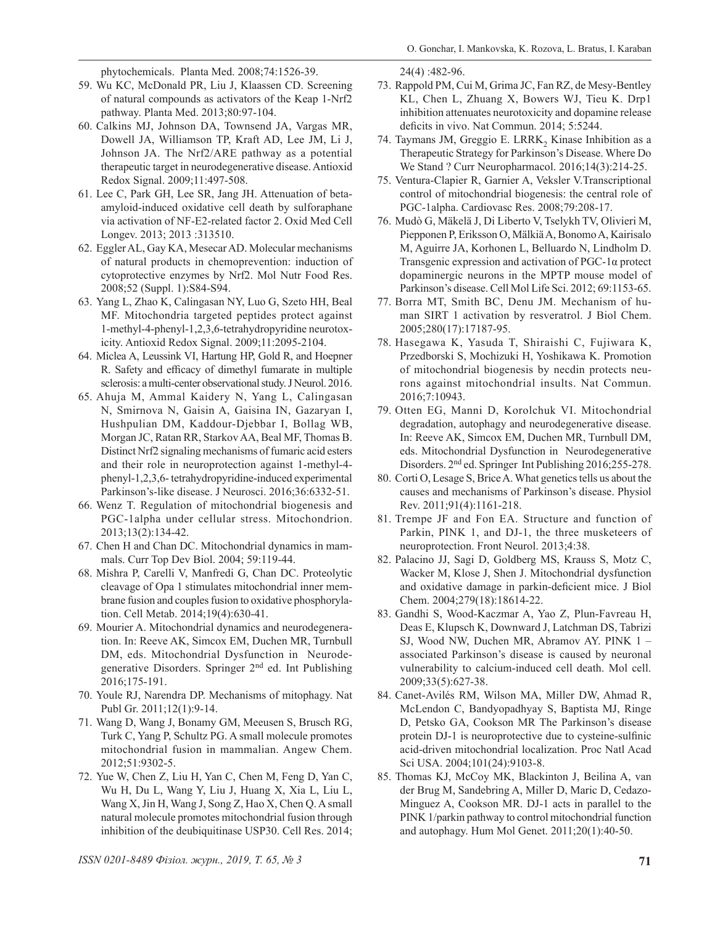phytochemicals. Planta Med. 2008;74:1526-39.

- 59. Wu KC, McDonald PR, Liu J, Klaassen CD. Screening of natural compounds as activators of the Keap 1-Nrf2 pathway. Planta Med. 2013;80:97-104.
- 60. Calkins MJ, Johnson DA, Townsend JA, Vargas MR, Dowell JA, Williamson TP, Kraft AD, Lee JM, Li J, Johnson JA. The Nrf2/ARE pathway as a potential therapeutic target in neurodegenerative disease. Antioxid Redox Signal. 2009;11:497-508.
- 61. Lee C, Park GH, Lee SR, Jang JH. Attenuation of betaamyloid-induced oxidative cell death by sulforaphane via activation of NF-E2-related factor 2. Oxid Med Cell Longev. 2013; 2013 :313510.
- 62. Eggler AL, Gay KA, Mesecar AD. Molecular mechanisms of natural products in chemoprevention: induction of cytoprotective enzymes by Nrf2. Mol Nutr Food Res. 2008;52 (Suppl. 1):S84-S94.
- 63. Yang L, Zhao K, Calingasan NY, Luo G, Szeto HH, Beal MF. Mitochondria targeted peptides protect against 1-methyl-4-phenyl-1,2,3,6-tetrahydropyridine neurotoxicity. Antioxid Redox Signal. 2009;11:2095-2104.
- 64. Miclea A, Leussink VI, Hartung HP, Gold R, and Hoepner R. Safety and efficacy of dimethyl fumarate in multiple sclerosis: a multi-center observational study. J Neurol. 2016.
- 65. Ahuja M, Ammal Kaidery N, Yang L, Calingasan N, Smirnova N, Gaisin A, Gaisina IN, Gazaryan I, Hushpulian DM, Kaddour-Djebbar I, Bollag WB, Morgan JC, Ratan RR, Starkov AA, Beal MF, Thomas B. Distinct Nrf2 signaling mechanisms of fumaric acid esters and their role in neuroprotection against 1-methyl-4 phenyl-1,2,3,6- tetrahydropyridine-induced experimental Parkinson's-like disease. J Neurosci. 2016;36:6332-51.
- 66. Wenz T. Regulation of mitochondrial biogenesis and PGC-1alpha under cellular stress. Mitochondrion. 2013;13(2):134-42.
- 67. Chen H and Chan DC. Mitochondrial dynamics in mammals. Curr Top Dev Biol. 2004; 59:119-44.
- 68. Mishra P, Carelli V, Manfredi G, Chan DC. Proteolytic cleavage of Opa 1 stimulates mitochondrial inner membrane fusion and couples fusion to oxidative phosphorylation. Cell Metab. 2014;19(4):630-41.
- 69. Mourier A. Mitochondrial dynamics and neurodegeneration. In: Reeve AK, Simcox EM, Duchen MR, Turnbull DM, eds. Mitochondrial Dysfunction in Neurodegenerative Disorders. Springer 2nd ed. Int Publishing 2016;175-191.
- 70. Youle RJ, Narendra DP. Mechanisms of mitophagy. Nat Publ Gr. 2011;12(1):9-14.
- 71. Wang D, Wang J, Bonamy GM, Meeusen S, Brusch RG, Turk C, Yang P, Schultz PG. A small molecule promotes mitochondrial fusion in mammalian. Angew Chem. 2012;51:9302-5.
- 72. Yue W, Chen Z, Liu H, Yan C, Chen M, Feng D, Yan C, Wu H, Du L, Wang Y, Liu J, Huang X, Xia L, Liu L, Wang X, Jin H, Wang J, Song Z, Hao X, Chen Q. A small natural molecule promotes mitochondrial fusion through inhibition of the deubiquitinase USP30. Cell Res. 2014;

24(4) :482-96.

- 73. Rappold PM, Cui M, Grima JC, Fan RZ, de Mesy-Bentley KL, Chen L, Zhuang X, Bowers WJ, Tieu K. Drp1 inhibition attenuates neurotoxicity and dopamine release deficits in vivo. Nat Commun. 2014; 5:5244.
- 74. Taymans JM, Greggio E. LRRK, Kinase Inhibition as a Therapeutic Strategy for Parkinson's Disease. Where Do We Stand ? Curr Neuropharmacol. 2016;14(3):214-25.
- 75. Ventura-Clapier R, Garnier A, Veksler V.Transcriptional control of mitochondrial biogenesis: the central role of PGC-1alpha. Cardiovasc Res. 2008;79:208-17.
- 76. Mudò G, Mäkelä J, Di Liberto V, Tselykh TV, Olivieri M, Piepponen P, Eriksson O, Mälkiä A, Bonomo A, Kairisalo M, Aguirre JA, Korhonen L, Belluardo N, Lindholm D. Transgenic expression and activation of PGC-1α protect dopaminergic neurons in the MPTP mouse model of Parkinson's disease. Cell Mol Life Sci. 2012; 69:1153-65.
- 77. Borra MT, Smith BC, Denu JM. Mechanism of human SIRT 1 activation by resveratrol. J Biol Chem. 2005;280(17):17187-95.
- 78. Hasegawa K, Yasuda T, Shiraishi C, Fujiwara K, Przedborski S, Mochizuki H, Yoshikawa K. Promotion of mitochondrial biogenesis by necdin protects neurons against mitochondrial insults. Nat Commun. 2016;7:10943.
- 79. Otten EG, Manni D, Korolchuk VI. Mitochondrial degradation, autophagy and neurodegenerative disease. In: Reeve AK, Simcox EM, Duchen MR, Turnbull DM, eds. Mitochondrial Dysfunction in Neurodegenerative Disorders. 2nd ed. Springer Int Publishing 2016;255-278.
- 80. Corti O, Lesage S, Brice A. What genetics tells us about the causes and mechanisms of Parkinson's disease. Physiol Rev. 2011;91(4):1161-218.
- 81. Trempe JF and Fon EA. Structure and function of Parkin, PINK 1, and DJ-1, the three musketeers of neuroprotection. Front Neurol. 2013;4:38.
- 82. Palacino JJ, Sagi D, Goldberg MS, Krauss S, Motz C, Wacker M, Klose J, Shen J. Mitochondrial dysfunction and oxidative damage in parkin-deficient mice. J Biol Chem. 2004;279(18):18614-22.
- 83. Gandhi S, Wood-Kaczmar A, Yao Z, Plun-Favreau H, Deas E, Klupsch K, Downward J, Latchman DS, Tabrizi SJ, Wood NW, Duchen MR, Abramov AY. PINK 1 – associated Parkinson's disease is caused by neuronal vulnerability to calcium-induced cell death. Mol cell. 2009;33(5):627-38.
- 84. Canet-Avilés RM, Wilson MA, Miller DW, Ahmad R, McLendon C, Bandyopadhyay S, Baptista MJ, Ringe D, Petsko GA, Cookson MR The Parkinson's disease protein DJ-1 is neuroprotective due to cysteine-sulfinic acid-driven mitochondrial localization. Proc Natl Acad Sci USA. 2004;101(24):9103-8.
- 85. Thomas KJ, McCoy MK, Blackinton J, Beilina A, van der Brug M, Sandebring A, Miller D, Maric D, Cedazo-Minguez A, Cookson MR. DJ-1 acts in parallel to the PINK 1/parkin pathway to control mitochondrial function and autophagy. Hum Mol Genet. 2011;20(1):40-50.